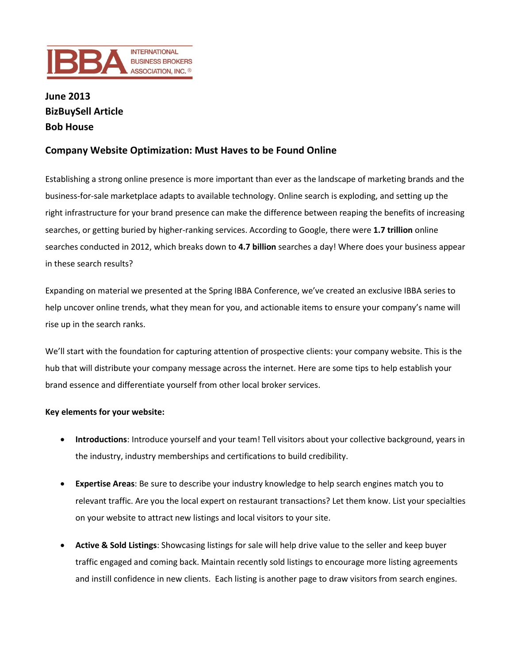

## **June 2013 BizBuySell Article Bob House**

## **Company Website Optimization: Must Haves to be Found Online**

Establishing a strong online presence is more important than ever as the landscape of marketing brands and the business-for-sale marketplace adapts to available technology. Online search is exploding, and setting up the right infrastructure for your brand presence can make the difference between reaping the benefits of increasing searches, or getting buried by higher-ranking services. According to Google, there were **1.7 trillion** online searches conducted in 2012, which breaks down to **4.7 billion** searches a day! Where does your business appear in these search results?

Expanding on material we presented at the Spring IBBA Conference, we've created an exclusive IBBA series to help uncover online trends, what they mean for you, and actionable items to ensure your company's name will rise up in the search ranks.

We'll start with the foundation for capturing attention of prospective clients: your company website. This is the hub that will distribute your company message across the internet. Here are some tips to help establish your brand essence and differentiate yourself from other local broker services.

## **Key elements for your website:**

- **Introductions**: Introduce yourself and your team! Tell visitors about your collective background, years in the industry, industry memberships and certifications to build credibility.
- **Expertise Areas**: Be sure to describe your industry knowledge to help search engines match you to relevant traffic. Are you the local expert on restaurant transactions? Let them know. List your specialties on your website to attract new listings and local visitors to your site.
- **Active & Sold Listings**: Showcasing listings for sale will help drive value to the seller and keep buyer traffic engaged and coming back. Maintain recently sold listings to encourage more listing agreements and instill confidence in new clients. Each listing is another page to draw visitors from search engines.